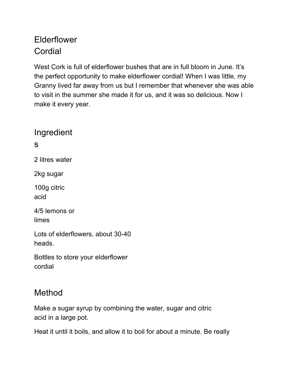## Elderflower Cordial

West Cork is full of elderflower bushes that are in full bloom in June. It's the perfect opportunity to make elderflower cordial! When I was little, my Granny lived far away from us but I remember that whenever she was able to visit in the summer she made it for us, and it was so delicious. Now I make it every year.

Ingredient s 2 litres water 2kg sugar 100g citric acid 4/5 lemons or limes Lots of elderflowers, about 30-40 heads. Bottles to store your elderflower cordial

## Method

Make a sugar syrup by combining the water, sugar and citric acid in a large pot.

Heat it until it boils, and allow it to boil for about a minute. Be really